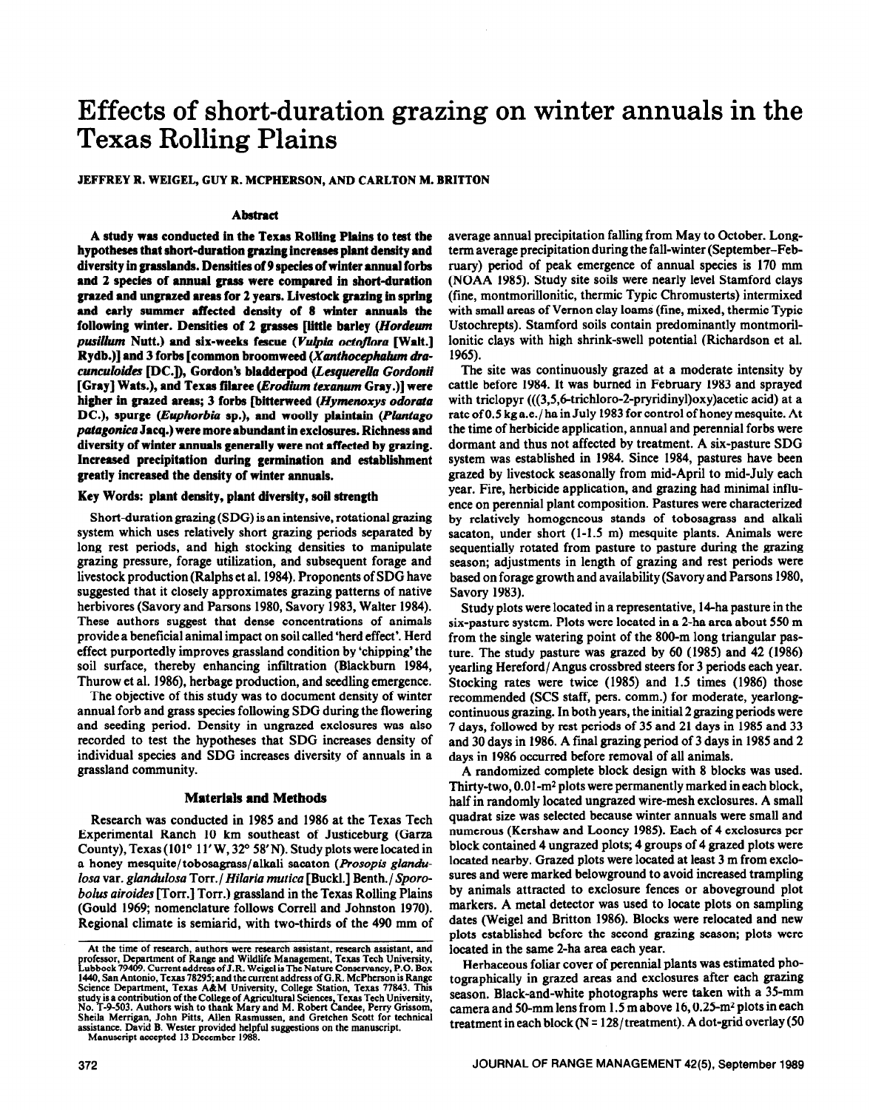# **Effects of short-duration grazing on winter annuals in the Texas Rolling Plains**

## JEFFREY R. WEIGEL, GUY R. MCPHERSON, AND CARLTON M. BRITTON

## **Abstract**

**A study was conducted in the Texas Rolling Plains to test the hypotheses that short-duration graxing increases plant density and diversity in grasslands. Densities of 9 species of winter annual forbs and 2 species of annual grass were compared in short-duration**  grazed and ungrazed areas for 2 years. Livestock grazing in spring **and early summer affected density of 8 winter ammals the**  following winter. Densities of 2 grasses [little barley (*Hordeum* pusillum Nutt.) and six-weeks fescue (Vulpia octoflora [Walt.] Rydb.)] and 3 forbs [common broomweed (*Xanthocephalum dracunculoides DC.l),* **Gordon's bladderpod (Lesguetella** *Gordonii*  [Gray] Wats.), and Texas filaree (*Erodium texanum Gray*.)] were higher in grazed areas; 3 forbs [bitterweed (Hymenoxys odorata DC.), spurge (Euphorbia sp.), and woolly plaintain (Plantago *patugonica* **Jacq.) were more abundant in exclosures. Richness and diversity of winter ammals generally were not** affected **by grazing. Increased precipitation during germination and establishment greatly increased the density of winter annuals.** 

#### Key Words: plant density, plant diversity, soil strength

Short-duration grazing (SDG) is an intensive, rotational grazing system which uses relatively short grazing periods separated by long rest periods, and high stocking densities to manipulate grazing pressure, forage utilization, and subsequent forage and livestock production (Ralphs et al. **1984). Proponents of** SDG have **suggested** that it closely approximates grazing patterns of native herbivores (Savory and Parsons 1980, Savory 1983, Walter 1984). These authors suggest that dense concentrations of animals provide a beneficial animal impact on soil called 'herd effect'. Herd effect purportedly improves grassland condition by 'chipping' the soil surface, thereby enhancing infiltration (Blackbum 1984, Thurow et al. 1986), herbage production, and seedling emergence.

The objective of this study was to document density of winter annual forb and grass species following SDG during the flowering and seeding period. Density in ungrazed exclosures was also recorded to test the hypotheses that SDG increases density of individual species and SDG increases diversity of annuals in a grassland community.

## **Materials and Methods**

Research was conducted in 1985 and 1986 at the Texas Tech Experimental Ranch 10 km southeast of Justiceburg (Garza County), Texas ( $101^{\circ}$  11' W, 32 $^{\circ}$  58' N). Study plots were located in a honey mesquite/ tobosagrass/alkali sacaton *(Prosopis glanduloss* var. *glandulosa* Torr./ *Hilaria mutica* [Buckl.] Bentb./ *Sporobolus airoides* [Torr.] Torr.) grassland in the Texas Rolling Plains (Gould 1969; nomenclature follows Correll and Johnston 1970). Regional climate is semiarid, with two-thirds of the 490 mm of

average annual precipitation falling from May to October. Longterm average precipitation during the fall-winter (September-February) period of peak emergence of annual species is 170 mm (NOAA 1985). Study site soils were nearly level Stamford clays (fine, montmorillonitic, thermic Typic Chromusterts) intermixed with small areas of Vernon clay loams (fine, mixed, thermic Typic Ustochrepts). Stamford soils contain predominantly montmorillonitic clays with high shrink-swell potential (Richardson et al. 1965).

The site was continuously grazed at a moderate intensity by cattle before 1984. It was burned in February 1983 and sprayed with triclopyr (((3,5,6-trichloro-2-pryridinyl)oxy)acetic acid) at a rate of 0.5 kg a.e./ ha in July 1983 for control of honey mesquite. At the time of herbicide application, annual and perennial forbs were dormant and thus not affected by treatment. A six-pasture SDG system was established in 1984. Since 1984, pastures have been grazed by livestock seasonally from mid-April to mid-July each year. Fire, herbicide application, and grazing had minimal influence on perennial plant composition. Pastures were characterized by relatively homogeneous stands of tobosagrass and alkali sacaton, under short (l-l.5 m) mesquite plants. Animals were sequentially rotated from pasture to pasture during the grazing season; adjustments in length of grazing and rest periods were based on forage growth and availability (Savory and Parsons 1980, Savory 1983).

Study plots were located in a representative, 14-ha pasture in the six-pasture system. Plots were located in a 2-ha area about 550 m from the single watering point of the 800-m long triangular pasture. The study pasture was grazed by 60 (1985) and 42 (1986) yearling Hereford/Angus crossbred steers for 3 periods each year. Stocking rates were twice (1985) and 1.5 times (1986) those recommended (SCS staff, pers. comm.) for moderate, yearlongcontinuous grazing. In both years, the initial 2 grazing periods were 7 days, followed by rest periods of 35 and 21 days in 1985 and 33 and 30 days in 1986. A final grazing period of 3 days in 1985 and 2 days in 1986 occurred before removal of all animals.

A randomized complete block design with 8 blocks was used. Thirty-two, O.Ol-m2 plots were permanently marked in each block, half in randomly located ungrazed wire-mesh exclosures. A small quadrat size was selected because winter annuals were small and numerous (Kershaw and Looney 1985). Each of 4 exclosures per block contained 4 ungrazed plots; 4 groups of 4 grazed plots were located nearby. Grazed plots were located at least 3 m from exclosures and were marked belowground to avoid increased trampling by animals attracted to exclosure fences or aboveground plot markers. A metal detector was used to locate plots on sampling dates (Weigel and Britton 1986). Blocks were relocated and new plots established before the second grazing season; plots were located in the same 2-ha area each year.

Herbaceous foliar cover of perennial plants was estimated photographically in grazed areas and exclosures after each **grazing**  season. Black-and-white photographs were taken with a 35-mm camera and 50-mm lens from 1.5 m above 16, 0.25-m2 plots in each treatment in each block (N = 128/treatment). A dot-grid overlay (50

At the time of research, authors were research assistant, research assistant, and<br>professor, Department of Range and Wildlife Management, Texas Tech University,<br>Lubbock 79409. Current address of J.R. Weigel is The Nature C **Science Department, Texas A&M University, College Station, Texas 77843. This**  study is a contribution of the College of Agricultural Sciences, Texas Tech University,<br>No. T-9-503. Authors wish to thank Mary and M. Robert Candee, Perry Grissom,<br>Sheila Merrigan, John Pitts, Allen Rasmussen, and Gretche **assistance. David B. Wester provided helpful suggestions on the manuscript. Manuscript accepted 13 December 1988.**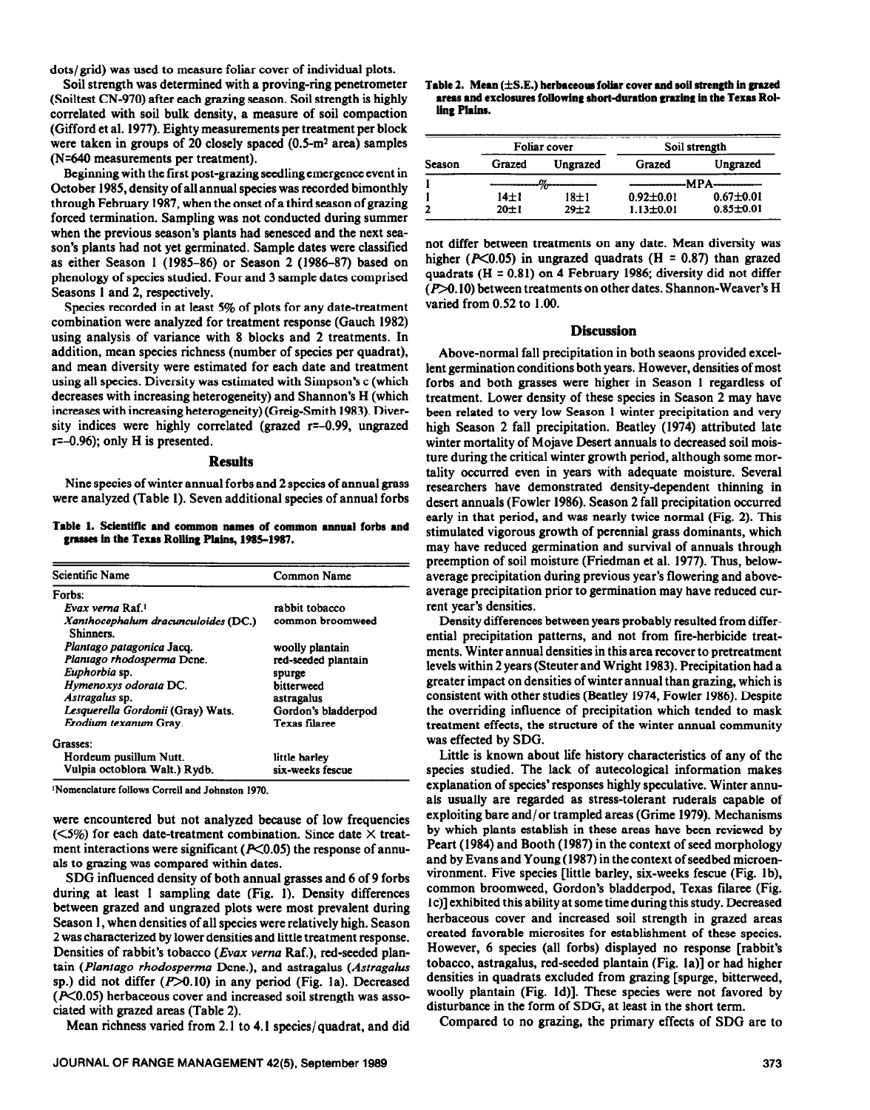dots/ grid) was used to measure foliar cover of individual plots.

Soil strength was determined with a proving-ring penetrometer (Soiltest CN-970) after each grazing season. Soil strength is highly correlated with soil bulk density, a measure of soil compaction (Gifford et al. 1977). Eighty measurements per treatment per block were taken in groups of 20 closely spaced  $(0.5-m^2 \text{ area})$  samples (N=640 measurements per treatment).

Beginning with the first post-grazing seedling emergence event in October 1985, density of **all annual** species was recorded bimonthly through February 1987, when the onset of a third season of grazing forced termination. Sampling was not conducted during summer when the previous season's plants had senesced and the next season's plants had not yet germinated. Sample dates were classified as either Season 1 (1985-86) or Season 2 (1986-87) based on phenology of species studied. Four and 3 sample dates comprised Seasons 1 and 2, respectively.

Species recorded in at least 5% of plots for any date-treatment combination were analyzed for treatment response (Gauch 1982) using analysis of variance with 8 blocks and 2 treatments. In addition, mean species richness (number of species per quadrat), and mean diversity were estimated for each date and treatment using all species. Diversity was estimated with Simpson's c (which decreases with increasing heterogeneity) and Shannon's H (which increases with increasing heterogeneity) (Greig-Smith 1983). Diversity indices were highly correlated (grazed r=-0.99, ungrazed  $r=-0.96$ ; only H is presented.

#### **Results**

Nine species of winter annual forbs and 2 species of annual grass were analyzed (Table 1). Seven additional species of annual forbs

Table 1. Scientific and common names of common annual forbs and grasses in the Texas Rolling Plains, 1985-1987.

| <b>Scientific Name</b>                           | Common Name         |  |
|--------------------------------------------------|---------------------|--|
| Forbs:                                           |                     |  |
| Evax verna Raf 1                                 | rabbit tobacco      |  |
| Xanthocephalum dracunculoides (DC.)<br>Shinners. | common broomweed    |  |
| Plantago patagonica Jacq.                        | woolly plantain     |  |
| Plantago rhodosperma Dcne.                       | red-seeded plantain |  |
| Euphorbia sp.                                    | spurge              |  |
| Hymenoxys odorata DC.                            | bitterweed          |  |
| Astragalus sp.                                   | astragalus          |  |
| Lesquerella Gordonii (Gray) Wats.                | Gordon's bladderpod |  |
| Erodium texanum Gray.                            | Texas filaree       |  |
| Grasses:                                         |                     |  |
| Hordeum pusillum Nutt.                           | little barley       |  |
| Vulpia octoblora Walt.) Rydb.                    | six-weeks fescue    |  |

<sup>1</sup>Nomenclature follows Correll and Johnston 1970.

were encountered but not analyzed because of low frequencies ( $\leq$ 5%) for each date-treatment combination. Since date  $\times$  treatment interactions were significant ( $P<0.05$ ) the response of annuals to grazing was compared within dates.

SDG influenced density of both annual grasses and 6 of 9 forbs during at least 1 sampling date (Fig. 1). Density differences between grazed and ungrazed plots were most prevalent during Season 1, when densities of all species were relatively high. Season 2 was characterized by lower densities and little treatment response. Densities of rabbit's tobacco (Evax verna Raf.), red-seeded plantain *(Plantago rhodosperma* Dcne.), and astragalus *(Astragalus*  sp.) did not differ  $(P>0.10)$  in any period (Fig. 1a). Decreased  $(K<sub>0.05</sub>)$  herbaceous cover and increased soil strength was associated with grazed areas (Table 2).

Mean richness varied from 2.1 to 4.1 species/ quadrat, and did

| Season | Foliar cover |          | Soil strength        |                 |
|--------|--------------|----------|----------------------|-----------------|
|        | Grazed       | Ungrazed | Grazed               | Ungrazed        |
|        |              |          | ---MPA-------------- |                 |
|        | $14\pm1$     | $18\pm1$ | $0.92 \pm 0.01$      | $0.67 \pm 0.01$ |
|        | 20±1         | $29 + 2$ | $1.13 \pm 0.01$      | $0.85 \pm 0.01$ |

**not** differ between treatments on any date. Mean diversity was higher ( $P<0.05$ ) in ungrazed quadrats (H = 0.87) than grazed quadrats (H = 0.81) on 4 February 1986; diversity did not differ  $(P>0.10)$  between treatments on other dates. Shannon-Weaver's H varied from 0.52 to 1.00.

## **Discussion**

Above-normal fall precipitation in both seaons provided excellent germination conditions both years. However, densities of most forbs and both grasses were higher in Season 1 regardless of treatment. Lower density of these species in Season 2 may have been related to very low Season 1 winter precipitation and very high Season 2 fall precipitation. Beatley (1974) attributed late winter mortality of Mojave Desert annuals to decreased soil moisture during the critical winter growth period, although some mortality occurred even in years with adequate moisture. Several researchers have demonstrated density-dependent thinning in desert annuals (Fowler 1986). Season 2 fall precipitation occurred early in that period, and was nearly twice normal (Fig. 2). This stimulated vigorous growth of perennial grass dominants, which may have reduced germination and survival of annuals through preemption of soil moisture (Friedman et al. 1977). Thus, belowaverage precipitation during previous year's flowering and aboveaverage precipitation prior to germination may have reduced current year's densities.

Density differences between years probably resulted from differential precipitation patterns, and not from fire-herbicide treatments. Winter annual densities in this area recover to pretreatment levels within 2 years (Steuter and Wright 1983). Precipitation had a greater impact on densities of winter annual than grazing, which is consistent with other studies (Beatley 1974, Fowler 1986). Despite the overriding influence of precipitation which tended to mask treatment effects, the structure of the winter annual community was effected by SDG.

Little is known about life history characteristics of any of the species studied. The lack of autecological information makes explanation of species' responses highly speculative. Winter annuals usually are regarded as stress-tolerant ruderals capable of exploiting bare and/or trampled areas (Grime 1979). Mechanisms by which plants establish in these areas have been reviewed by Peart (1984) and Booth (1987) in the context of seed morphology and by Evans and Young (1987) in the context of seedbed microenvironment. Five species [little barley, six-weeks fescue (Fig. lb), common broomweed, Gordon's bladderpod, Texas tilaree (Fig. lc)] exhibited this ability at some time during this study. Decreased herbaceous cover and increased soil strength in grazed areas created favorable microsites for establishment of these species. However, 6 species (all forbs) displayed no response [rabbit's tobacco, astragalus, red-seeded plantain (Fig. la)] or had higher densities in quadrats excluded from grazing [spurge, bitterweed, woolly plantain (Fig. Id)]. These species were not favored by disturbance in the form of SDG, at least in the short term.

Compared to no grazing, the primary effects of SDG are to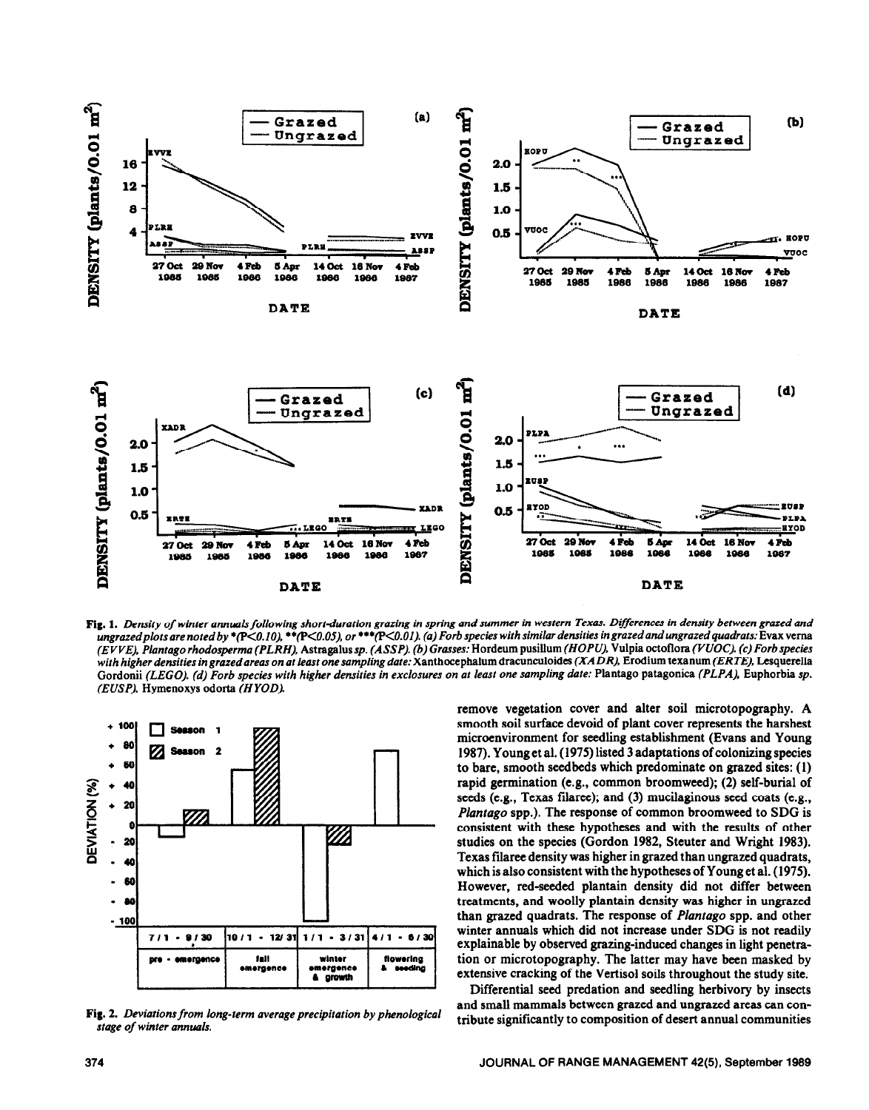

*Fig. 1. Density of winter annuals following short-duration grazing in spring and summer in western Texas. Differences in density between grased and ungrasedplots are noted by +(p<O. 10).* l *\*(P<O.OS), or \*\*\*(KO.Ol). (a) Forb species with similar densities in grazed andungrazed quadrats:* **Evax vema**  *(EVVE), Plantago rhodosperma (PLRH),* Astragalus *sp. (ASSP). (b) Grasses:* Hordeum pusillum (HOPU). Vulpia octoflora (VUOC). (c) *Forb species with higher densities ingrazedareas on at least onesampling date:* Xanthocephalum dracunculoides *(XADR),* Erodium texanum *(ERTE),* Lesquerella **Gordonii** *(LEGO). (d) Forb species with higher densities in exclosures on at least one sampling date:* Plantago patagonica *(PLPA),* Euphorbia *sp. (EUSP),* Hymenoxys odorta *(HYOD).* 



Fig. 2. *Deviations from long-term average precipitation by phenological stage of winter annuals.* 

remove vegetation cover and alter soil microtopography. A smooth soil surface devoid of plant cover represents the harshest microenvironment for seedling establishment (Evans and Young 1987). **Young** et al. (1975) listed 3 adaptations of colonizing species to bare, smooth seedbeds which predominate on grazed sites: (1) rapid germination (e.g., common broomweed); (2) self-burial of seeds (e.g., Texas filaree); and (3) mucilaginous seed coats (e.g., *Plantago* spp.). The response of common broomweed to SDG is consistent with these hypotheses and with the results of other studies on the species (Gordon 1982, Steuter and Wright 1983). Texas filaree density was higher in grazed than ungraxed quadrats, which is also consistent with the hypotheses of **Young** et al. (1975). However, red-seeded plantain density did not differ between treatments, and woolly plantain density was higher in ungraxed than grazed quadrats. The response of *Plantago* spp. and other winter annuals which did not increase under SDG is not readily explainable by observed grazing-induced changes in light penetration or microtopography. The latter may have been masked by extensive cracking of the Vertisol soils throughout the study site.

Differential seed predation and seedling herbivory by insects and small mammals between grazed and ungraxed areas can contribute significantly to composition of desert annual communities